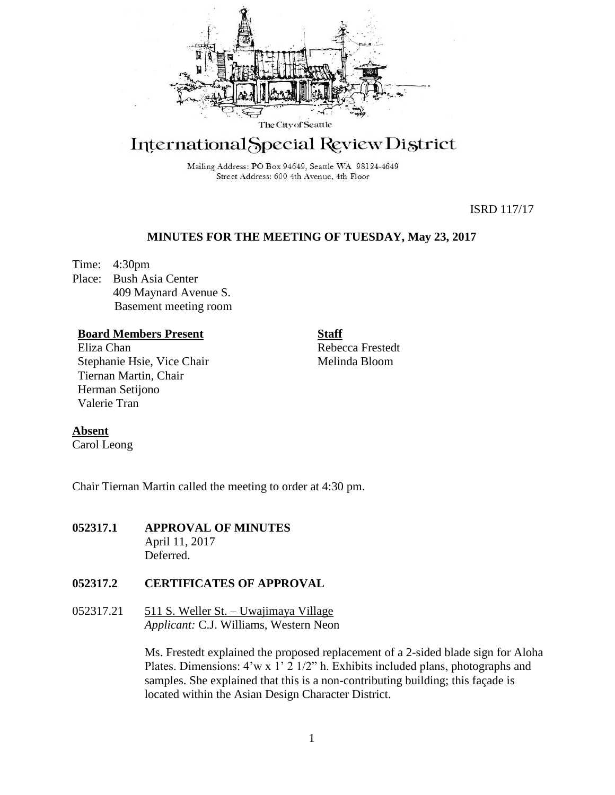

# International Special Review District

Mailing Address: PO Box 94649, Seattle WA 98124-4649 Street Address: 600 4th Avenue, 4th Floor

ISRD 117/17

# **MINUTES FOR THE MEETING OF TUESDAY, May 23, 2017**

Time: 4:30pm Place: Bush Asia Center 409 Maynard Avenue S. Basement meeting room

## **Board Members Present**

Eliza Chan Stephanie Hsie, Vice Chair Tiernan Martin, Chair Herman Setijono Valerie Tran

Rebecca Frestedt Melinda Bloom

**Staff**

# **Absent**

Carol Leong

Chair Tiernan Martin called the meeting to order at 4:30 pm.

**052317.1 APPROVAL OF MINUTES**  April 11, 2017 Deferred.

# **052317.2 CERTIFICATES OF APPROVAL**

052317.21  $511 S$ . Weller St. – Uwajimaya Village *Applicant:* C.J. Williams, Western Neon

> Ms. Frestedt explained the proposed replacement of a 2-sided blade sign for Aloha Plates. Dimensions: 4'w x 1' 2 1/2" h. Exhibits included plans, photographs and samples. She explained that this is a non-contributing building; this façade is located within the Asian Design Character District.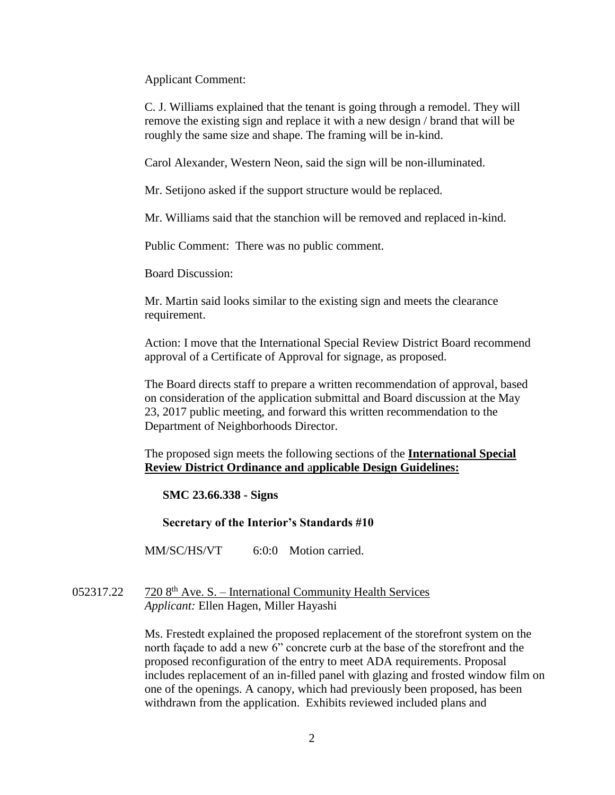Applicant Comment:

C. J. Williams explained that the tenant is going through a remodel. They will remove the existing sign and replace it with a new design / brand that will be roughly the same size and shape. The framing will be in-kind.

Carol Alexander, Western Neon, said the sign will be non-illuminated.

Mr. Setijono asked if the support structure would be replaced.

Mr. Williams said that the stanchion will be removed and replaced in-kind.

Public Comment: There was no public comment.

Board Discussion:

Mr. Martin said looks similar to the existing sign and meets the clearance requirement.

Action: I move that the International Special Review District Board recommend approval of a Certificate of Approval for signage, as proposed.

The Board directs staff to prepare a written recommendation of approval, based on consideration of the application submittal and Board discussion at the May 23, 2017 public meeting, and forward this written recommendation to the Department of Neighborhoods Director.

The proposed sign meets the following sections of the **International Special Review District Ordinance and** a**pplicable Design Guidelines:**

**SMC 23.66.338 - Signs**

**Secretary of the Interior's Standards #10**

MM/SC/HS/VT 6:0:0 Motion carried.

 $052317.22$   $7208<sup>th</sup>$  Ave. S. – International Community Health Services *Applicant:* Ellen Hagen, Miller Hayashi

> Ms. Frestedt explained the proposed replacement of the storefront system on the north façade to add a new 6" concrete curb at the base of the storefront and the proposed reconfiguration of the entry to meet ADA requirements. Proposal includes replacement of an in-filled panel with glazing and frosted window film on one of the openings. A canopy, which had previously been proposed, has been withdrawn from the application. Exhibits reviewed included plans and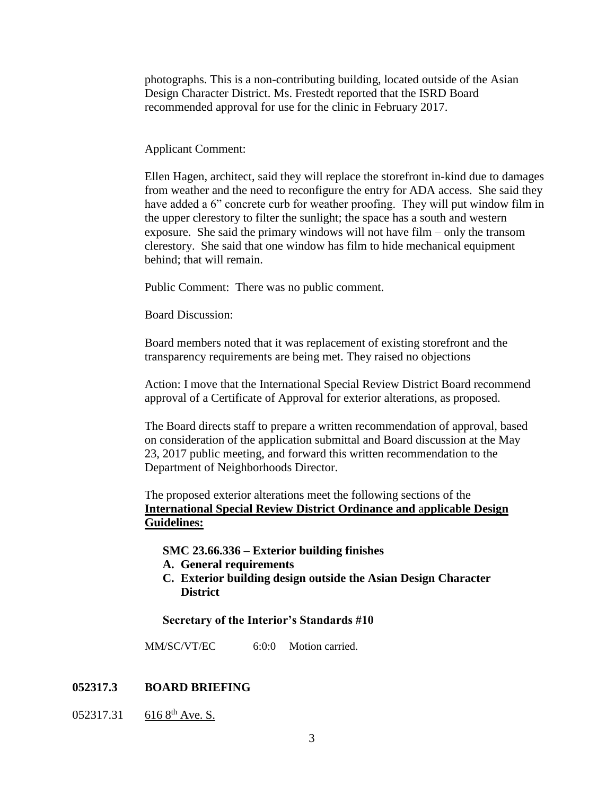photographs. This is a non-contributing building, located outside of the Asian Design Character District. Ms. Frestedt reported that the ISRD Board recommended approval for use for the clinic in February 2017.

## Applicant Comment:

Ellen Hagen, architect, said they will replace the storefront in-kind due to damages from weather and the need to reconfigure the entry for ADA access. She said they have added a 6" concrete curb for weather proofing. They will put window film in the upper clerestory to filter the sunlight; the space has a south and western exposure. She said the primary windows will not have film – only the transom clerestory. She said that one window has film to hide mechanical equipment behind; that will remain.

Public Comment: There was no public comment.

Board Discussion:

Board members noted that it was replacement of existing storefront and the transparency requirements are being met. They raised no objections

Action: I move that the International Special Review District Board recommend approval of a Certificate of Approval for exterior alterations, as proposed.

The Board directs staff to prepare a written recommendation of approval, based on consideration of the application submittal and Board discussion at the May 23, 2017 public meeting, and forward this written recommendation to the Department of Neighborhoods Director.

The proposed exterior alterations meet the following sections of the **International Special Review District Ordinance and** a**pplicable Design Guidelines:**

#### **SMC 23.66.336 – Exterior building finishes**

- **A. General requirements**
- **C. Exterior building design outside the Asian Design Character District**

#### **Secretary of the Interior's Standards #10**

MM/SC/VT/EC 6:0:0 Motion carried.

## **052317.3 BOARD BRIEFING**

052317.31 616 8<sup>th</sup> Ave. S.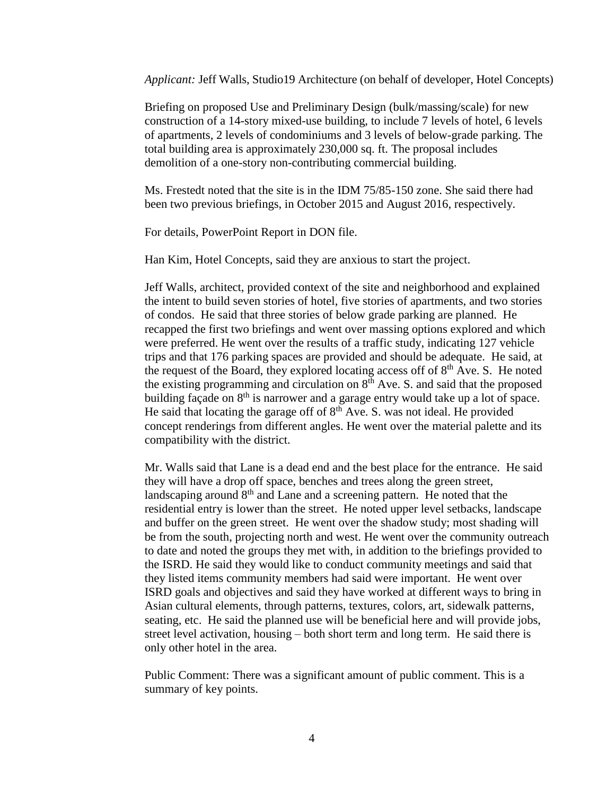*Applicant:* Jeff Walls, Studio19 Architecture (on behalf of developer, Hotel Concepts)

Briefing on proposed Use and Preliminary Design (bulk/massing/scale) for new construction of a 14-story mixed-use building, to include 7 levels of hotel, 6 levels of apartments, 2 levels of condominiums and 3 levels of below-grade parking. The total building area is approximately 230,000 sq. ft. The proposal includes demolition of a one-story non-contributing commercial building.

Ms. Frestedt noted that the site is in the IDM 75/85-150 zone. She said there had been two previous briefings, in October 2015 and August 2016, respectively.

For details, PowerPoint Report in DON file.

Han Kim, Hotel Concepts, said they are anxious to start the project.

Jeff Walls, architect, provided context of the site and neighborhood and explained the intent to build seven stories of hotel, five stories of apartments, and two stories of condos. He said that three stories of below grade parking are planned. He recapped the first two briefings and went over massing options explored and which were preferred. He went over the results of a traffic study, indicating 127 vehicle trips and that 176 parking spaces are provided and should be adequate. He said, at the request of the Board, they explored locating access off of  $8<sup>th</sup>$  Ave. S. He noted the existing programming and circulation on  $8<sup>th</sup>$  Ave. S. and said that the proposed building façade on  $8<sup>th</sup>$  is narrower and a garage entry would take up a lot of space. He said that locating the garage off of  $8<sup>th</sup>$  Ave. S. was not ideal. He provided concept renderings from different angles. He went over the material palette and its compatibility with the district.

Mr. Walls said that Lane is a dead end and the best place for the entrance. He said they will have a drop off space, benches and trees along the green street, landscaping around 8<sup>th</sup> and Lane and a screening pattern. He noted that the residential entry is lower than the street. He noted upper level setbacks, landscape and buffer on the green street. He went over the shadow study; most shading will be from the south, projecting north and west. He went over the community outreach to date and noted the groups they met with, in addition to the briefings provided to the ISRD. He said they would like to conduct community meetings and said that they listed items community members had said were important. He went over ISRD goals and objectives and said they have worked at different ways to bring in Asian cultural elements, through patterns, textures, colors, art, sidewalk patterns, seating, etc. He said the planned use will be beneficial here and will provide jobs, street level activation, housing – both short term and long term. He said there is only other hotel in the area.

Public Comment: There was a significant amount of public comment. This is a summary of key points.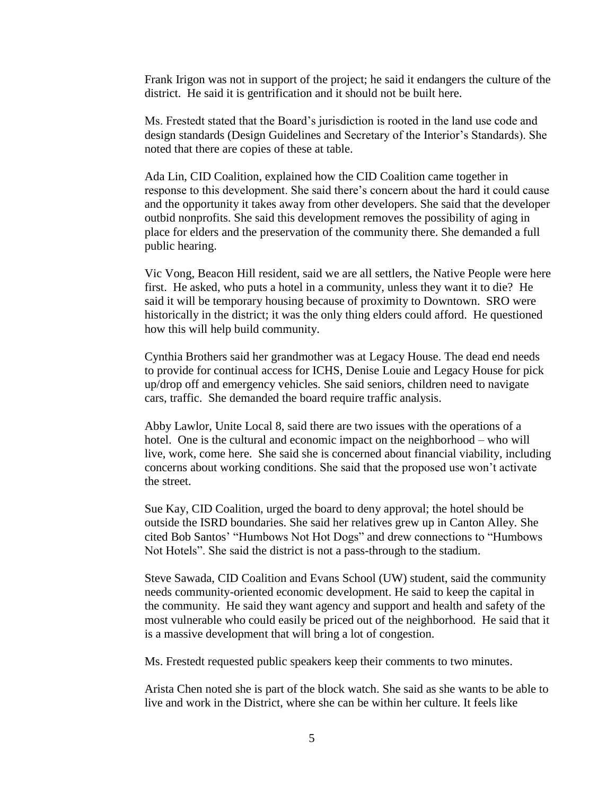Frank Irigon was not in support of the project; he said it endangers the culture of the district. He said it is gentrification and it should not be built here.

Ms. Frestedt stated that the Board's jurisdiction is rooted in the land use code and design standards (Design Guidelines and Secretary of the Interior's Standards). She noted that there are copies of these at table.

Ada Lin, CID Coalition, explained how the CID Coalition came together in response to this development. She said there's concern about the hard it could cause and the opportunity it takes away from other developers. She said that the developer outbid nonprofits. She said this development removes the possibility of aging in place for elders and the preservation of the community there. She demanded a full public hearing.

Vic Vong, Beacon Hill resident, said we are all settlers, the Native People were here first. He asked, who puts a hotel in a community, unless they want it to die? He said it will be temporary housing because of proximity to Downtown. SRO were historically in the district; it was the only thing elders could afford. He questioned how this will help build community.

Cynthia Brothers said her grandmother was at Legacy House. The dead end needs to provide for continual access for ICHS, Denise Louie and Legacy House for pick up/drop off and emergency vehicles. She said seniors, children need to navigate cars, traffic. She demanded the board require traffic analysis.

Abby Lawlor, Unite Local 8, said there are two issues with the operations of a hotel. One is the cultural and economic impact on the neighborhood – who will live, work, come here. She said she is concerned about financial viability, including concerns about working conditions. She said that the proposed use won't activate the street.

Sue Kay, CID Coalition, urged the board to deny approval; the hotel should be outside the ISRD boundaries. She said her relatives grew up in Canton Alley. She cited Bob Santos' "Humbows Not Hot Dogs" and drew connections to "Humbows Not Hotels". She said the district is not a pass-through to the stadium.

Steve Sawada, CID Coalition and Evans School (UW) student, said the community needs community-oriented economic development. He said to keep the capital in the community. He said they want agency and support and health and safety of the most vulnerable who could easily be priced out of the neighborhood. He said that it is a massive development that will bring a lot of congestion.

Ms. Frestedt requested public speakers keep their comments to two minutes.

Arista Chen noted she is part of the block watch. She said as she wants to be able to live and work in the District, where she can be within her culture. It feels like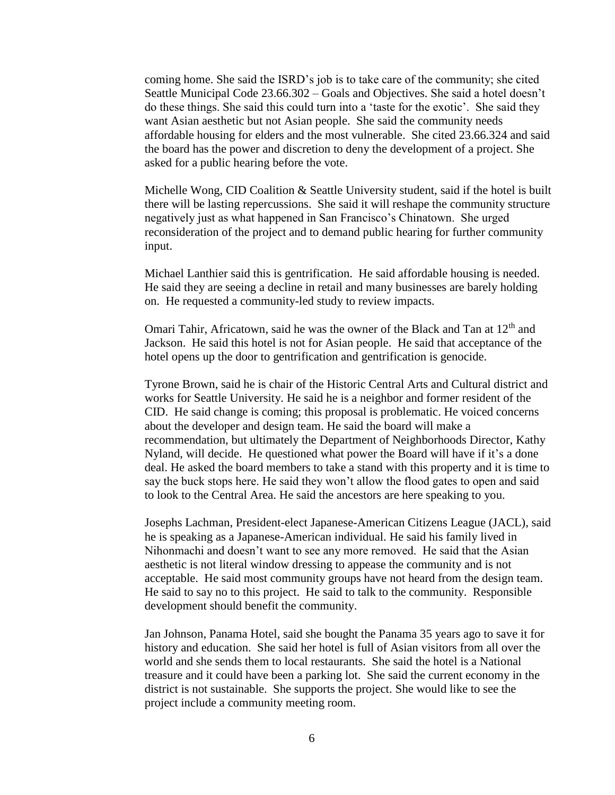coming home. She said the ISRD's job is to take care of the community; she cited Seattle Municipal Code 23.66.302 – Goals and Objectives. She said a hotel doesn't do these things. She said this could turn into a 'taste for the exotic'. She said they want Asian aesthetic but not Asian people. She said the community needs affordable housing for elders and the most vulnerable. She cited 23.66.324 and said the board has the power and discretion to deny the development of a project. She asked for a public hearing before the vote.

Michelle Wong, CID Coalition & Seattle University student, said if the hotel is built there will be lasting repercussions. She said it will reshape the community structure negatively just as what happened in San Francisco's Chinatown. She urged reconsideration of the project and to demand public hearing for further community input.

Michael Lanthier said this is gentrification. He said affordable housing is needed. He said they are seeing a decline in retail and many businesses are barely holding on. He requested a community-led study to review impacts.

Omari Tahir, Africatown, said he was the owner of the Black and Tan at 12<sup>th</sup> and Jackson. He said this hotel is not for Asian people. He said that acceptance of the hotel opens up the door to gentrification and gentrification is genocide.

Tyrone Brown, said he is chair of the Historic Central Arts and Cultural district and works for Seattle University. He said he is a neighbor and former resident of the CID. He said change is coming; this proposal is problematic. He voiced concerns about the developer and design team. He said the board will make a recommendation, but ultimately the Department of Neighborhoods Director, Kathy Nyland, will decide. He questioned what power the Board will have if it's a done deal. He asked the board members to take a stand with this property and it is time to say the buck stops here. He said they won't allow the flood gates to open and said to look to the Central Area. He said the ancestors are here speaking to you.

Josephs Lachman, President-elect Japanese-American Citizens League (JACL), said he is speaking as a Japanese-American individual. He said his family lived in Nihonmachi and doesn't want to see any more removed. He said that the Asian aesthetic is not literal window dressing to appease the community and is not acceptable. He said most community groups have not heard from the design team. He said to say no to this project. He said to talk to the community. Responsible development should benefit the community.

Jan Johnson, Panama Hotel, said she bought the Panama 35 years ago to save it for history and education. She said her hotel is full of Asian visitors from all over the world and she sends them to local restaurants. She said the hotel is a National treasure and it could have been a parking lot. She said the current economy in the district is not sustainable. She supports the project. She would like to see the project include a community meeting room.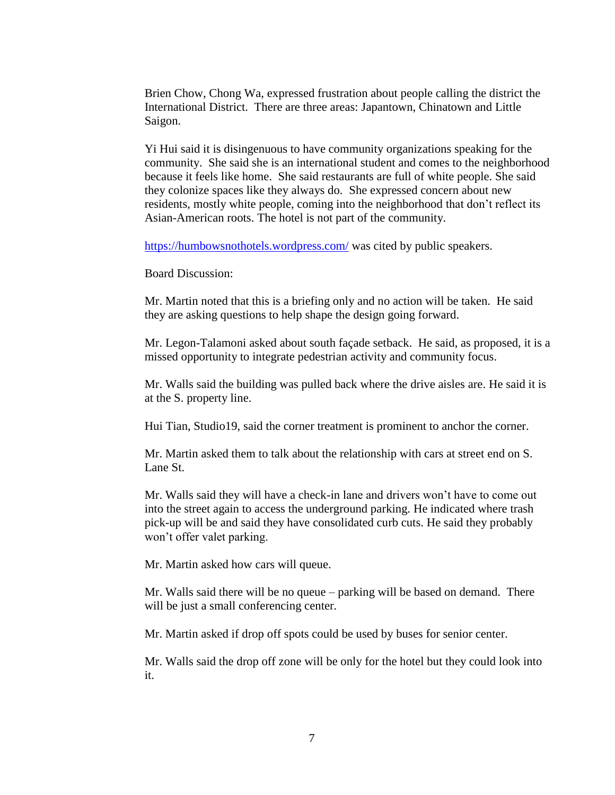Brien Chow, Chong Wa, expressed frustration about people calling the district the International District. There are three areas: Japantown, Chinatown and Little Saigon.

Yi Hui said it is disingenuous to have community organizations speaking for the community. She said she is an international student and comes to the neighborhood because it feels like home. She said restaurants are full of white people. She said they colonize spaces like they always do. She expressed concern about new residents, mostly white people, coming into the neighborhood that don't reflect its Asian-American roots. The hotel is not part of the community.

<https://humbowsnothotels.wordpress.com/> was cited by public speakers.

Board Discussion:

Mr. Martin noted that this is a briefing only and no action will be taken. He said they are asking questions to help shape the design going forward.

Mr. Legon-Talamoni asked about south façade setback. He said, as proposed, it is a missed opportunity to integrate pedestrian activity and community focus.

Mr. Walls said the building was pulled back where the drive aisles are. He said it is at the S. property line.

Hui Tian, Studio19, said the corner treatment is prominent to anchor the corner.

Mr. Martin asked them to talk about the relationship with cars at street end on S. Lane St.

Mr. Walls said they will have a check-in lane and drivers won't have to come out into the street again to access the underground parking. He indicated where trash pick-up will be and said they have consolidated curb cuts. He said they probably won't offer valet parking.

Mr. Martin asked how cars will queue.

Mr. Walls said there will be no queue – parking will be based on demand. There will be just a small conferencing center.

Mr. Martin asked if drop off spots could be used by buses for senior center.

Mr. Walls said the drop off zone will be only for the hotel but they could look into it.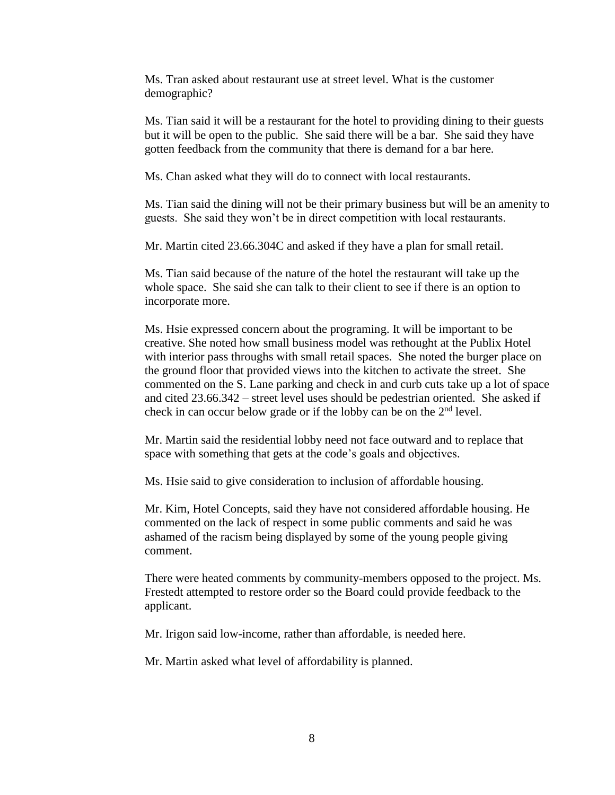Ms. Tran asked about restaurant use at street level. What is the customer demographic?

Ms. Tian said it will be a restaurant for the hotel to providing dining to their guests but it will be open to the public. She said there will be a bar. She said they have gotten feedback from the community that there is demand for a bar here.

Ms. Chan asked what they will do to connect with local restaurants.

Ms. Tian said the dining will not be their primary business but will be an amenity to guests. She said they won't be in direct competition with local restaurants.

Mr. Martin cited 23.66.304C and asked if they have a plan for small retail.

Ms. Tian said because of the nature of the hotel the restaurant will take up the whole space. She said she can talk to their client to see if there is an option to incorporate more.

Ms. Hsie expressed concern about the programing. It will be important to be creative. She noted how small business model was rethought at the Publix Hotel with interior pass throughs with small retail spaces. She noted the burger place on the ground floor that provided views into the kitchen to activate the street. She commented on the S. Lane parking and check in and curb cuts take up a lot of space and cited 23.66.342 – street level uses should be pedestrian oriented. She asked if check in can occur below grade or if the lobby can be on the 2nd level.

Mr. Martin said the residential lobby need not face outward and to replace that space with something that gets at the code's goals and objectives.

Ms. Hsie said to give consideration to inclusion of affordable housing.

Mr. Kim, Hotel Concepts, said they have not considered affordable housing. He commented on the lack of respect in some public comments and said he was ashamed of the racism being displayed by some of the young people giving comment.

There were heated comments by community-members opposed to the project. Ms. Frestedt attempted to restore order so the Board could provide feedback to the applicant.

Mr. Irigon said low-income, rather than affordable, is needed here.

Mr. Martin asked what level of affordability is planned.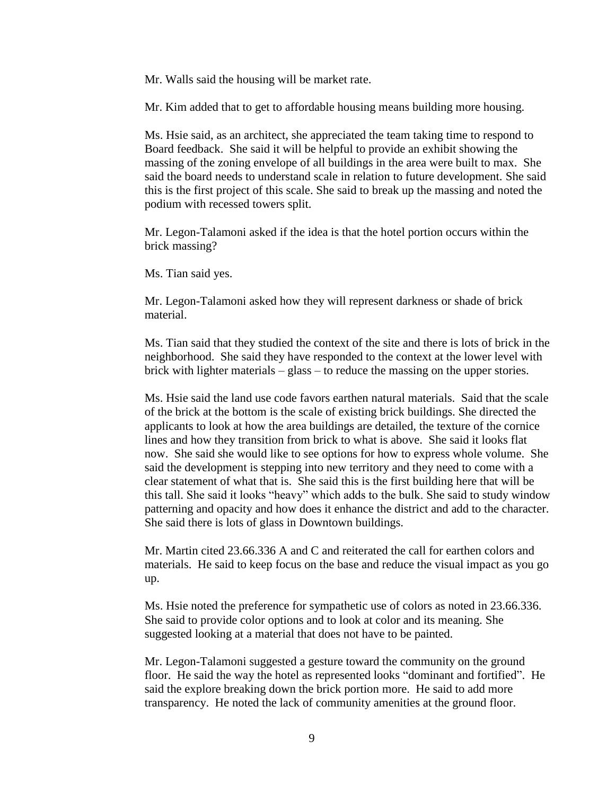Mr. Walls said the housing will be market rate.

Mr. Kim added that to get to affordable housing means building more housing.

Ms. Hsie said, as an architect, she appreciated the team taking time to respond to Board feedback. She said it will be helpful to provide an exhibit showing the massing of the zoning envelope of all buildings in the area were built to max. She said the board needs to understand scale in relation to future development. She said this is the first project of this scale. She said to break up the massing and noted the podium with recessed towers split.

Mr. Legon-Talamoni asked if the idea is that the hotel portion occurs within the brick massing?

Ms. Tian said yes.

Mr. Legon-Talamoni asked how they will represent darkness or shade of brick material.

Ms. Tian said that they studied the context of the site and there is lots of brick in the neighborhood. She said they have responded to the context at the lower level with brick with lighter materials – glass – to reduce the massing on the upper stories.

Ms. Hsie said the land use code favors earthen natural materials. Said that the scale of the brick at the bottom is the scale of existing brick buildings. She directed the applicants to look at how the area buildings are detailed, the texture of the cornice lines and how they transition from brick to what is above. She said it looks flat now. She said she would like to see options for how to express whole volume. She said the development is stepping into new territory and they need to come with a clear statement of what that is. She said this is the first building here that will be this tall. She said it looks "heavy" which adds to the bulk. She said to study window patterning and opacity and how does it enhance the district and add to the character. She said there is lots of glass in Downtown buildings.

Mr. Martin cited 23.66.336 A and C and reiterated the call for earthen colors and materials. He said to keep focus on the base and reduce the visual impact as you go up.

Ms. Hsie noted the preference for sympathetic use of colors as noted in 23.66.336. She said to provide color options and to look at color and its meaning. She suggested looking at a material that does not have to be painted.

Mr. Legon-Talamoni suggested a gesture toward the community on the ground floor. He said the way the hotel as represented looks "dominant and fortified". He said the explore breaking down the brick portion more. He said to add more transparency. He noted the lack of community amenities at the ground floor.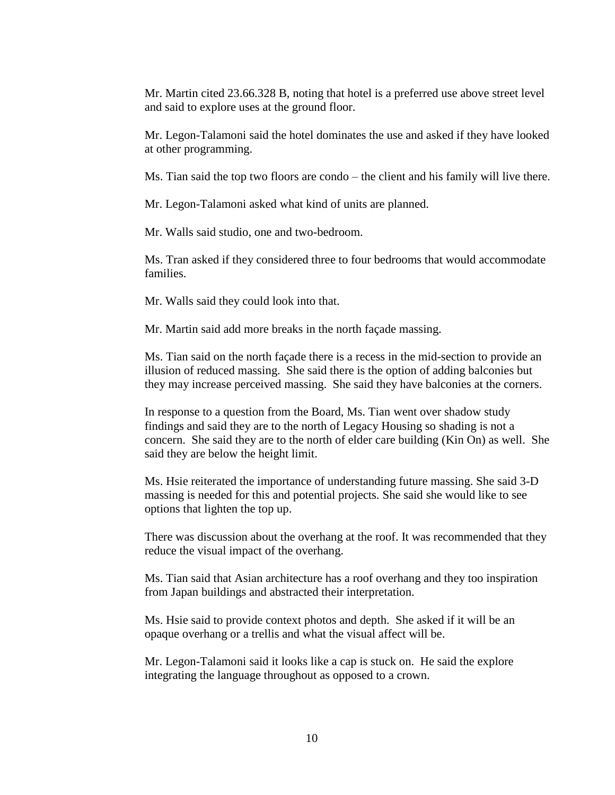Mr. Martin cited 23.66.328 B, noting that hotel is a preferred use above street level and said to explore uses at the ground floor.

Mr. Legon-Talamoni said the hotel dominates the use and asked if they have looked at other programming.

Ms. Tian said the top two floors are condo – the client and his family will live there.

Mr. Legon-Talamoni asked what kind of units are planned.

Mr. Walls said studio, one and two-bedroom.

Ms. Tran asked if they considered three to four bedrooms that would accommodate families.

Mr. Walls said they could look into that.

Mr. Martin said add more breaks in the north façade massing.

Ms. Tian said on the north façade there is a recess in the mid-section to provide an illusion of reduced massing. She said there is the option of adding balconies but they may increase perceived massing. She said they have balconies at the corners.

In response to a question from the Board, Ms. Tian went over shadow study findings and said they are to the north of Legacy Housing so shading is not a concern. She said they are to the north of elder care building (Kin On) as well. She said they are below the height limit.

Ms. Hsie reiterated the importance of understanding future massing. She said 3-D massing is needed for this and potential projects. She said she would like to see options that lighten the top up.

There was discussion about the overhang at the roof. It was recommended that they reduce the visual impact of the overhang.

Ms. Tian said that Asian architecture has a roof overhang and they too inspiration from Japan buildings and abstracted their interpretation.

Ms. Hsie said to provide context photos and depth. She asked if it will be an opaque overhang or a trellis and what the visual affect will be.

Mr. Legon-Talamoni said it looks like a cap is stuck on. He said the explore integrating the language throughout as opposed to a crown.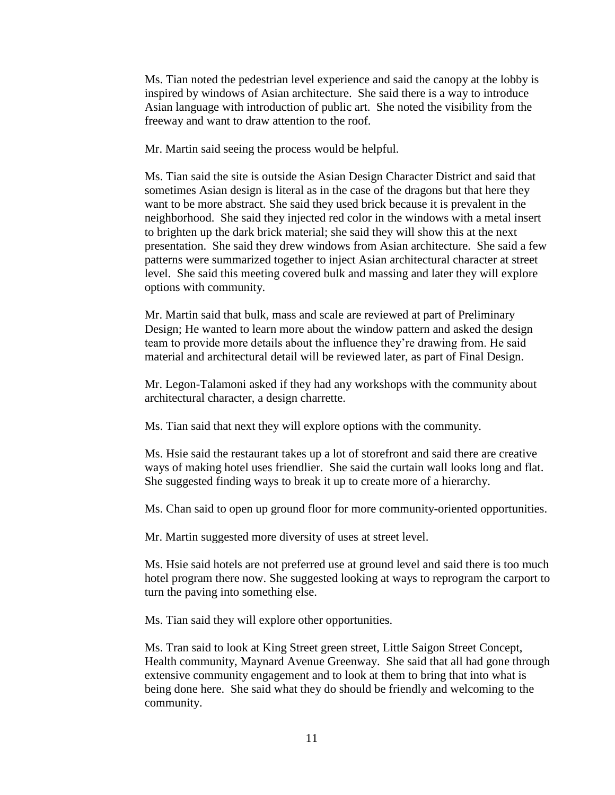Ms. Tian noted the pedestrian level experience and said the canopy at the lobby is inspired by windows of Asian architecture. She said there is a way to introduce Asian language with introduction of public art. She noted the visibility from the freeway and want to draw attention to the roof.

Mr. Martin said seeing the process would be helpful.

Ms. Tian said the site is outside the Asian Design Character District and said that sometimes Asian design is literal as in the case of the dragons but that here they want to be more abstract. She said they used brick because it is prevalent in the neighborhood. She said they injected red color in the windows with a metal insert to brighten up the dark brick material; she said they will show this at the next presentation. She said they drew windows from Asian architecture. She said a few patterns were summarized together to inject Asian architectural character at street level. She said this meeting covered bulk and massing and later they will explore options with community.

Mr. Martin said that bulk, mass and scale are reviewed at part of Preliminary Design; He wanted to learn more about the window pattern and asked the design team to provide more details about the influence they're drawing from. He said material and architectural detail will be reviewed later, as part of Final Design.

Mr. Legon-Talamoni asked if they had any workshops with the community about architectural character, a design charrette.

Ms. Tian said that next they will explore options with the community.

Ms. Hsie said the restaurant takes up a lot of storefront and said there are creative ways of making hotel uses friendlier. She said the curtain wall looks long and flat. She suggested finding ways to break it up to create more of a hierarchy.

Ms. Chan said to open up ground floor for more community-oriented opportunities.

Mr. Martin suggested more diversity of uses at street level.

Ms. Hsie said hotels are not preferred use at ground level and said there is too much hotel program there now. She suggested looking at ways to reprogram the carport to turn the paving into something else.

Ms. Tian said they will explore other opportunities.

Ms. Tran said to look at King Street green street, Little Saigon Street Concept, Health community, Maynard Avenue Greenway. She said that all had gone through extensive community engagement and to look at them to bring that into what is being done here. She said what they do should be friendly and welcoming to the community.